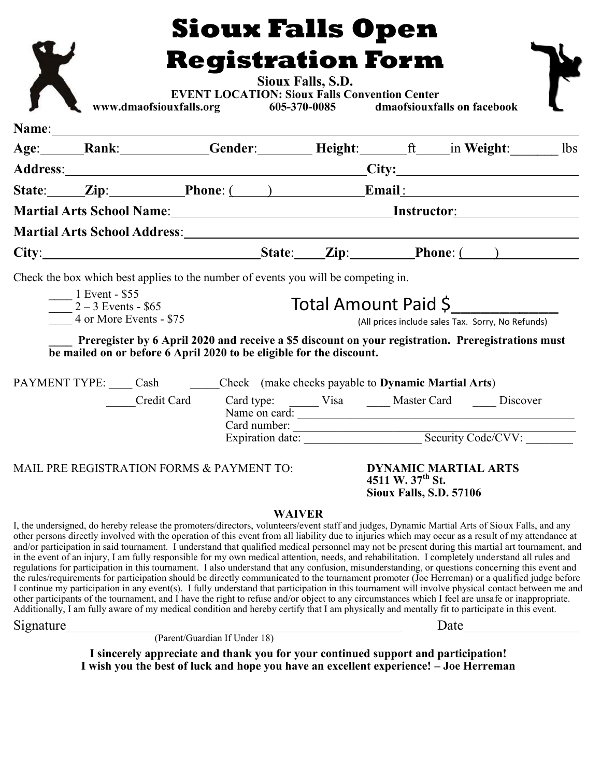|           |                                                                                                                                                                                                                                                                                                                                                                                                                                                                                                                                                                                                                                                                                                                                                                                                                                                                                                                                                                                                                                                                                                                                                                                                                                                                                                                                                                                  |                               |                                                                                                                                                |                   | <b>Sioux Falls Open</b>                                                                                               |                                                                                                                                             |  |  |  |
|-----------|----------------------------------------------------------------------------------------------------------------------------------------------------------------------------------------------------------------------------------------------------------------------------------------------------------------------------------------------------------------------------------------------------------------------------------------------------------------------------------------------------------------------------------------------------------------------------------------------------------------------------------------------------------------------------------------------------------------------------------------------------------------------------------------------------------------------------------------------------------------------------------------------------------------------------------------------------------------------------------------------------------------------------------------------------------------------------------------------------------------------------------------------------------------------------------------------------------------------------------------------------------------------------------------------------------------------------------------------------------------------------------|-------------------------------|------------------------------------------------------------------------------------------------------------------------------------------------|-------------------|-----------------------------------------------------------------------------------------------------------------------|---------------------------------------------------------------------------------------------------------------------------------------------|--|--|--|
|           |                                                                                                                                                                                                                                                                                                                                                                                                                                                                                                                                                                                                                                                                                                                                                                                                                                                                                                                                                                                                                                                                                                                                                                                                                                                                                                                                                                                  |                               |                                                                                                                                                |                   |                                                                                                                       |                                                                                                                                             |  |  |  |
|           |                                                                                                                                                                                                                                                                                                                                                                                                                                                                                                                                                                                                                                                                                                                                                                                                                                                                                                                                                                                                                                                                                                                                                                                                                                                                                                                                                                                  |                               |                                                                                                                                                |                   | <b>Registration Form</b>                                                                                              |                                                                                                                                             |  |  |  |
|           |                                                                                                                                                                                                                                                                                                                                                                                                                                                                                                                                                                                                                                                                                                                                                                                                                                                                                                                                                                                                                                                                                                                                                                                                                                                                                                                                                                                  |                               |                                                                                                                                                | Sioux Falls, S.D. | EVENT LOCATION: Sioux Falls Convention Center<br>www.dmaofsiouxfalls.org 605-370-0085 dmaofsiouxfalls on facebook     |                                                                                                                                             |  |  |  |
|           |                                                                                                                                                                                                                                                                                                                                                                                                                                                                                                                                                                                                                                                                                                                                                                                                                                                                                                                                                                                                                                                                                                                                                                                                                                                                                                                                                                                  |                               |                                                                                                                                                |                   |                                                                                                                       |                                                                                                                                             |  |  |  |
|           | Age: Rank: Gender: Height: ft in Weight: 1bs                                                                                                                                                                                                                                                                                                                                                                                                                                                                                                                                                                                                                                                                                                                                                                                                                                                                                                                                                                                                                                                                                                                                                                                                                                                                                                                                     |                               |                                                                                                                                                |                   |                                                                                                                       |                                                                                                                                             |  |  |  |
|           |                                                                                                                                                                                                                                                                                                                                                                                                                                                                                                                                                                                                                                                                                                                                                                                                                                                                                                                                                                                                                                                                                                                                                                                                                                                                                                                                                                                  |                               |                                                                                                                                                |                   |                                                                                                                       |                                                                                                                                             |  |  |  |
|           |                                                                                                                                                                                                                                                                                                                                                                                                                                                                                                                                                                                                                                                                                                                                                                                                                                                                                                                                                                                                                                                                                                                                                                                                                                                                                                                                                                                  |                               |                                                                                                                                                |                   |                                                                                                                       |                                                                                                                                             |  |  |  |
|           |                                                                                                                                                                                                                                                                                                                                                                                                                                                                                                                                                                                                                                                                                                                                                                                                                                                                                                                                                                                                                                                                                                                                                                                                                                                                                                                                                                                  |                               | State: Zip: Phone: () Email:<br>Martial Arts School Name: Martial Arts School Name: Martial Arts School Name: Martial Arts School Name: Martia |                   |                                                                                                                       |                                                                                                                                             |  |  |  |
|           |                                                                                                                                                                                                                                                                                                                                                                                                                                                                                                                                                                                                                                                                                                                                                                                                                                                                                                                                                                                                                                                                                                                                                                                                                                                                                                                                                                                  |                               |                                                                                                                                                |                   |                                                                                                                       |                                                                                                                                             |  |  |  |
|           | Martial Arts School Address: Martial Arts School Address: Martial Arts School Address:                                                                                                                                                                                                                                                                                                                                                                                                                                                                                                                                                                                                                                                                                                                                                                                                                                                                                                                                                                                                                                                                                                                                                                                                                                                                                           |                               |                                                                                                                                                |                   |                                                                                                                       |                                                                                                                                             |  |  |  |
|           |                                                                                                                                                                                                                                                                                                                                                                                                                                                                                                                                                                                                                                                                                                                                                                                                                                                                                                                                                                                                                                                                                                                                                                                                                                                                                                                                                                                  |                               |                                                                                                                                                |                   |                                                                                                                       |                                                                                                                                             |  |  |  |
|           | Preregister by 6 April 2020 and receive a \$5 discount on your registration. Preregistrations must<br>be mailed on or before 6 April 2020 to be eligible for the discount.<br>PAYMENT TYPE: Cash Check (make checks payable to Dynamic Martial Arts)<br>MAIL PRE REGISTRATION FORMS & PAYMENT TO:                                                                                                                                                                                                                                                                                                                                                                                                                                                                                                                                                                                                                                                                                                                                                                                                                                                                                                                                                                                                                                                                                |                               |                                                                                                                                                |                   | Credit Card Card type: Visa Master Card Discover<br>Name on card:<br>Card number: Expiration date: Security Code/CVV: | (All prices include sales Tax. Sorry, No Refunds)<br><b>DYNAMIC MARTIAL ARTS</b><br>4511 W. $37^{th}$ St.<br><b>Sioux Falls, S.D. 57106</b> |  |  |  |
| Signature | I, the undersigned, do hereby release the promoters/directors, volunteers/event staff and judges, Dynamic Martial Arts of Sioux Falls, and any<br>other persons directly involved with the operation of this event from all liability due to injuries which may occur as a result of my attendance at<br>and/or participation in said tournament. I understand that qualified medical personnel may not be present during this martial art tournament, and<br>in the event of an injury, I am fully responsible for my own medical attention, needs, and rehabilitation. I completely understand all rules and<br>regulations for participation in this tournament. I also understand that any confusion, misunderstanding, or questions concerning this event and<br>the rules/requirements for participation should be directly communicated to the tournament promoter (Joe Herreman) or a qualified judge before<br>I continue my participation in any event(s). I fully understand that participation in this tournament will involve physical contact between me and<br>other participants of the tournament, and I have the right to refuse and/or object to any circumstances which I feel are unsafe or inappropriate.<br>Additionally, I am fully aware of my medical condition and hereby certify that I am physically and mentally fit to participate in this event. | (Parent/Guardian If Under 18) |                                                                                                                                                | <b>WAIVER</b>     |                                                                                                                       |                                                                                                                                             |  |  |  |
|           | I wish you the best of luck and hope you have an excellent experience! - Joe Herreman                                                                                                                                                                                                                                                                                                                                                                                                                                                                                                                                                                                                                                                                                                                                                                                                                                                                                                                                                                                                                                                                                                                                                                                                                                                                                            |                               |                                                                                                                                                |                   | I sincerely appreciate and thank you for your continued support and participation!                                    |                                                                                                                                             |  |  |  |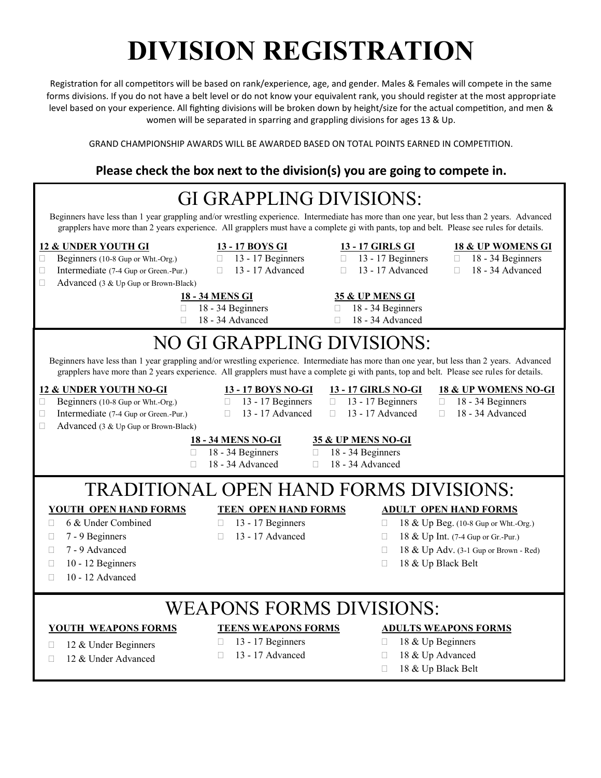# **DIVISION REGISTRATION**

Registration for all competitors will be based on rank/experience, age, and gender. Males & Females will compete in the same forms divisions. If you do not have a belt level or do not know your equivalent rank, you should register at the most appropriate level based on your experience. All fighting divisions will be broken down by height/size for the actual competition, and men & women will be separated in sparring and grappling divisions for ages 13 & Up.

GRAND CHAMPIONSHIP AWARDS WILL BE AWARDED BASED ON TOTAL POINTS EARNED IN COMPETITION.

### **Please check the box next to the division(s) you are going to compete in.**

| <b>GI GRAPPLING DIVISIONS:</b><br>Beginners have less than 1 year grappling and/or wrestling experience. Intermediate has more than one year, but less than 2 years. Advanced                                                                                                    |                                                      |                                                           |                                                                            |  |  |  |  |  |  |  |
|----------------------------------------------------------------------------------------------------------------------------------------------------------------------------------------------------------------------------------------------------------------------------------|------------------------------------------------------|-----------------------------------------------------------|----------------------------------------------------------------------------|--|--|--|--|--|--|--|
| grapplers have more than 2 years experience. All grapplers must have a complete gi with pants, top and belt. Please see rules for details.                                                                                                                                       |                                                      |                                                           |                                                                            |  |  |  |  |  |  |  |
| <b>12 &amp; UNDER YOUTH GI</b>                                                                                                                                                                                                                                                   | 13 - 17 BOYS GI                                      | 13 - 17 GIRLS GI                                          | <b>18 &amp; UP WOMENS GI</b>                                               |  |  |  |  |  |  |  |
| $\Box$<br>Beginners (10-8 Gup or Wht.-Org.)<br>Intermediate (7-4 Gup or Green.-Pur.)<br>□                                                                                                                                                                                        | 13 - 17 Beginners<br>П<br>13 - 17 Advanced<br>$\Box$ | 13 - 17 Beginners<br>$\Box$<br>13 - 17 Advanced<br>$\Box$ | 18 - 34 Beginners<br>0<br>18 - 34 Advanced<br>$\Box$                       |  |  |  |  |  |  |  |
| Advanced (3 & Up Gup or Brown-Black)<br>□                                                                                                                                                                                                                                        |                                                      |                                                           |                                                                            |  |  |  |  |  |  |  |
| П                                                                                                                                                                                                                                                                                | <b>18 - 34 MENS GI</b><br>18 - 34 Beginners          | <b>35 &amp; UP MENS GI</b><br>18 - 34 Beginners<br>П      |                                                                            |  |  |  |  |  |  |  |
| П                                                                                                                                                                                                                                                                                | 18 - 34 Advanced                                     | 18 - 34 Advanced<br>П                                     |                                                                            |  |  |  |  |  |  |  |
| NO GI GRAPPLING DIVISIONS:                                                                                                                                                                                                                                                       |                                                      |                                                           |                                                                            |  |  |  |  |  |  |  |
| Beginners have less than 1 year grappling and/or wrestling experience. Intermediate has more than one year, but less than 2 years. Advanced                                                                                                                                      |                                                      |                                                           |                                                                            |  |  |  |  |  |  |  |
| grapplers have more than 2 years experience. All grapplers must have a complete gi with pants, top and belt. Please see rules for details.                                                                                                                                       |                                                      |                                                           |                                                                            |  |  |  |  |  |  |  |
| <b>12 &amp; UNDER YOUTH NO-GI</b>                                                                                                                                                                                                                                                | 13 - 17 BOYS NO-GI                                   | <b>13 - 17 GIRLS NO-GI</b>                                | <b>18 &amp; UP WOMENS NO-GI</b>                                            |  |  |  |  |  |  |  |
| 13 - 17 Beginners<br>13 - 17 Beginners<br>18 - 34 Beginners<br>Beginners (10-8 Gup or Wht.-Org.)<br>$\Box$<br>$\Box$<br>П<br>$\Box$<br>13 - 17 Advanced<br>13 - 17 Advanced<br>18 - 34 Advanced<br>Intermediate (7-4 Gup or Green.-Pur.)<br>$\Box$<br>$\Box$<br>$\Box$<br>$\Box$ |                                                      |                                                           |                                                                            |  |  |  |  |  |  |  |
| $\Box$<br>Advanced (3 & Up Gup or Brown-Black)                                                                                                                                                                                                                                   |                                                      |                                                           |                                                                            |  |  |  |  |  |  |  |
|                                                                                                                                                                                                                                                                                  | <b>18 - 34 MENS NO-GI</b>                            | 35 & UP MENS NO-GI                                        |                                                                            |  |  |  |  |  |  |  |
| П<br>П                                                                                                                                                                                                                                                                           | 18 - 34 Beginners<br>П<br>18 - 34 Advanced<br>П      | 18 - 34 Beginners<br>18 - 34 Advanced                     |                                                                            |  |  |  |  |  |  |  |
|                                                                                                                                                                                                                                                                                  |                                                      |                                                           |                                                                            |  |  |  |  |  |  |  |
| TRADITIONAL OPEN HAND FORMS DIVISIONS:                                                                                                                                                                                                                                           |                                                      |                                                           |                                                                            |  |  |  |  |  |  |  |
| <b>YOUTH OPEN HAND FORMS</b><br>6 & Under Combined                                                                                                                                                                                                                               | <b>TEEN OPEN HAND FORMS</b>                          |                                                           | <b>ADULT OPEN HAND FORMS</b>                                               |  |  |  |  |  |  |  |
| П.<br>7 - 9 Beginners<br>П                                                                                                                                                                                                                                                       | 13 - 17 Beginners<br>П<br>13 - 17 Advanced<br>П      | П<br>$\Box$                                               | 18 & Up Beg. (10-8 Gup or Wht.-Org.)<br>18 & Up Int. (7-4 Gup or Gr.-Pur.) |  |  |  |  |  |  |  |
| 7 - 9 Advanced<br>П                                                                                                                                                                                                                                                              |                                                      | $\Box$                                                    | 18 & Up Adv. (3-1 Gup or Brown - Red)                                      |  |  |  |  |  |  |  |
| 10 - 12 Beginners<br>П                                                                                                                                                                                                                                                           |                                                      | П                                                         | 18 & Up Black Belt                                                         |  |  |  |  |  |  |  |
| 10 - 12 Advanced<br>П                                                                                                                                                                                                                                                            |                                                      |                                                           |                                                                            |  |  |  |  |  |  |  |
|                                                                                                                                                                                                                                                                                  |                                                      |                                                           |                                                                            |  |  |  |  |  |  |  |
| <b>WEAPONS FORMS DIVISIONS:</b>                                                                                                                                                                                                                                                  |                                                      |                                                           |                                                                            |  |  |  |  |  |  |  |
| <b>YOUTH WEAPONS FORMS</b>                                                                                                                                                                                                                                                       | <b>TEENS WEAPONS FORMS</b>                           |                                                           | <b>ADULTS WEAPONS FORMS</b>                                                |  |  |  |  |  |  |  |
| 12 & Under Beginners<br>П                                                                                                                                                                                                                                                        | 13 - 17 Beginners<br>П<br>13 - 17 Advanced<br>П      |                                                           | 18 & Up Beginners<br>П<br>18 & Up Advanced                                 |  |  |  |  |  |  |  |
| 12 & Under Advanced<br>П                                                                                                                                                                                                                                                         |                                                      | $\Box$<br>18 & Up Black Belt<br>П                         |                                                                            |  |  |  |  |  |  |  |